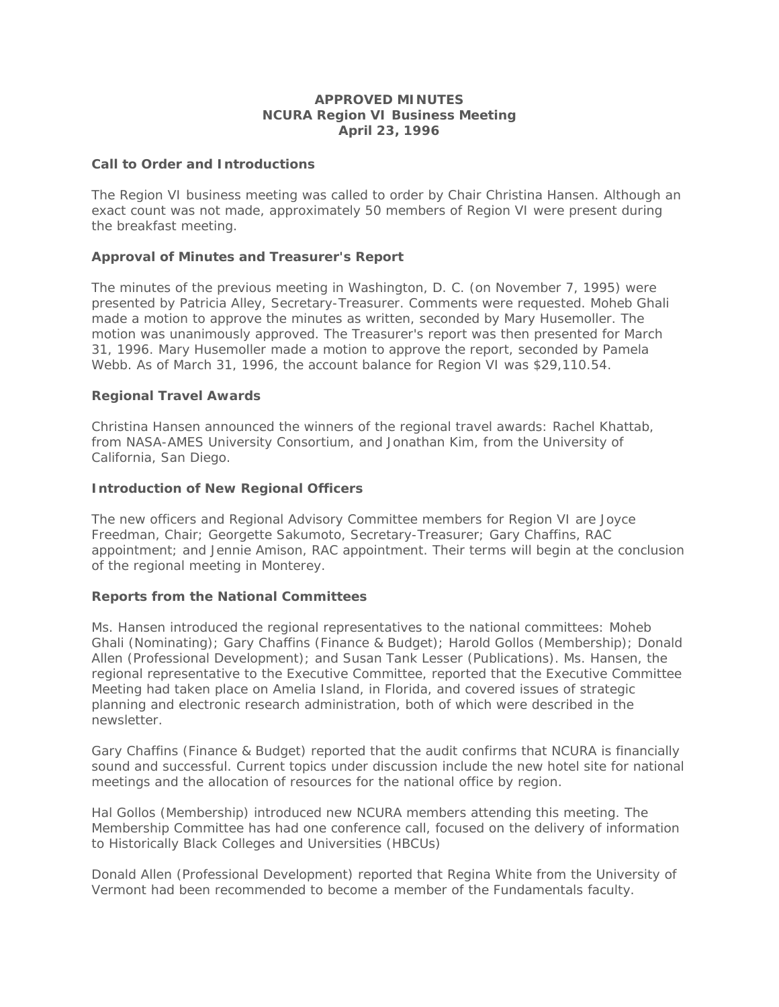## **APPROVED MINUTES NCURA Region VI Business Meeting April 23, 1996**

### **Call to Order and Introductions**

The Region VI business meeting was called to order by Chair Christina Hansen. Although an exact count was not made, approximately 50 members of Region VI were present during the breakfast meeting.

# **Approval of Minutes and Treasurer's Report**

The minutes of the previous meeting in Washington, D. C. (on November 7, 1995) were presented by Patricia Alley, Secretary-Treasurer. Comments were requested. Moheb Ghali made a motion to approve the minutes as written, seconded by Mary Husemoller. The motion was unanimously approved. The Treasurer's report was then presented for March 31, 1996. Mary Husemoller made a motion to approve the report, seconded by Pamela Webb. As of March 31, 1996, the account balance for Region VI was \$29,110.54.

### **Regional Travel Awards**

Christina Hansen announced the winners of the regional travel awards: Rachel Khattab, from NASA-AMES University Consortium, and Jonathan Kim, from the University of California, San Diego.

### **Introduction of New Regional Officers**

The new officers and Regional Advisory Committee members for Region VI are Joyce Freedman, Chair; Georgette Sakumoto, Secretary-Treasurer; Gary Chaffins, RAC appointment; and Jennie Amison, RAC appointment. Their terms will begin at the conclusion of the regional meeting in Monterey.

#### **Reports from the National Committees**

Ms. Hansen introduced the regional representatives to the national committees: Moheb Ghali (Nominating); Gary Chaffins (Finance & Budget); Harold Gollos (Membership); Donald Allen (Professional Development); and Susan Tank Lesser (Publications). Ms. Hansen, the regional representative to the Executive Committee, reported that the Executive Committee Meeting had taken place on Amelia Island, in Florida, and covered issues of strategic planning and electronic research administration, both of which were described in the newsletter.

Gary Chaffins (Finance & Budget) reported that the audit confirms that NCURA is financially sound and successful. Current topics under discussion include the new hotel site for national meetings and the allocation of resources for the national office by region.

Hal Gollos (Membership) introduced new NCURA members attending this meeting. The Membership Committee has had one conference call, focused on the delivery of information to Historically Black Colleges and Universities (HBCUs)

Donald Allen (Professional Development) reported that Regina White from the University of Vermont had been recommended to become a member of the Fundamentals faculty.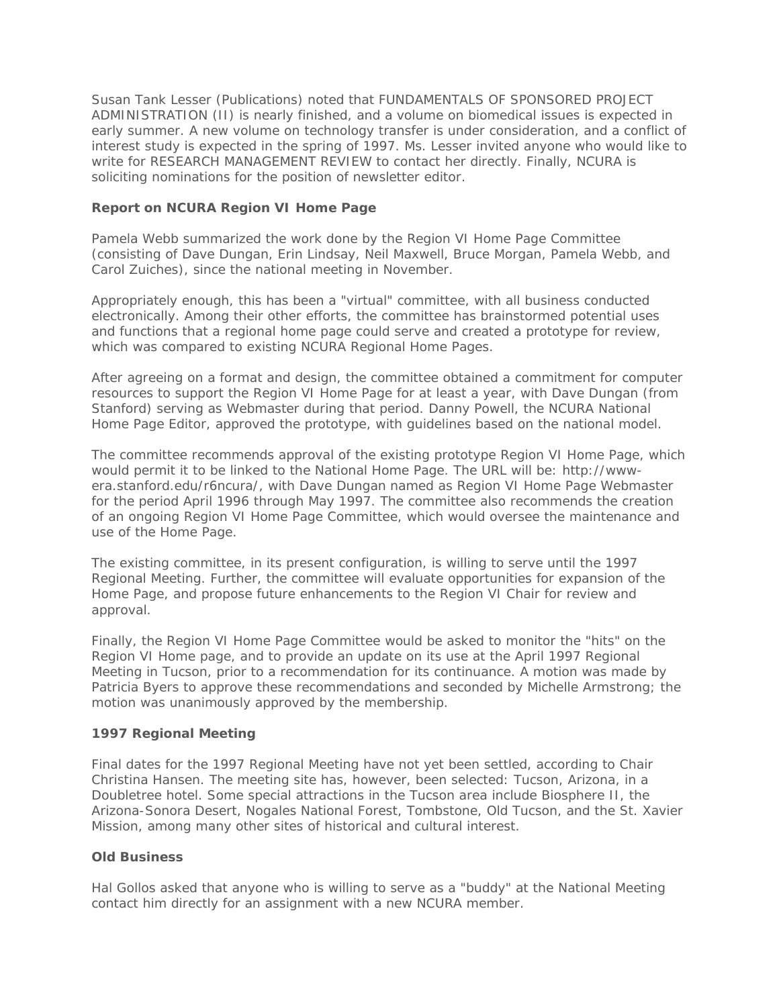Susan Tank Lesser (Publications) noted that FUNDAMENTALS OF SPONSORED PROJECT ADMINISTRATION (II) is nearly finished, and a volume on biomedical issues is expected in early summer. A new volume on technology transfer is under consideration, and a conflict of interest study is expected in the spring of 1997. Ms. Lesser invited anyone who would like to write for RESEARCH MANAGEMENT REVIEW to contact her directly. Finally, NCURA is soliciting nominations for the position of newsletter editor.

# **Report on NCURA Region VI Home Page**

Pamela Webb summarized the work done by the Region VI Home Page Committee (consisting of Dave Dungan, Erin Lindsay, Neil Maxwell, Bruce Morgan, Pamela Webb, and Carol Zuiches), since the national meeting in November.

Appropriately enough, this has been a "virtual" committee, with all business conducted electronically. Among their other efforts, the committee has brainstormed potential uses and functions that a regional home page could serve and created a prototype for review, which was compared to existing NCURA Regional Home Pages.

After agreeing on a format and design, the committee obtained a commitment for computer resources to support the Region VI Home Page for at least a year, with Dave Dungan (from Stanford) serving as Webmaster during that period. Danny Powell, the NCURA National Home Page Editor, approved the prototype, with guidelines based on the national model.

The committee recommends approval of the existing prototype Region VI Home Page, which would permit it to be linked to the National Home Page. The URL will be: http://wwwera.stanford.edu/r6ncura/, with Dave Dungan named as Region VI Home Page Webmaster for the period April 1996 through May 1997. The committee also recommends the creation of an ongoing Region VI Home Page Committee, which would oversee the maintenance and use of the Home Page.

The existing committee, in its present configuration, is willing to serve until the 1997 Regional Meeting. Further, the committee will evaluate opportunities for expansion of the Home Page, and propose future enhancements to the Region VI Chair for review and approval.

Finally, the Region VI Home Page Committee would be asked to monitor the "hits" on the Region VI Home page, and to provide an update on its use at the April 1997 Regional Meeting in Tucson, prior to a recommendation for its continuance. A motion was made by Patricia Byers to approve these recommendations and seconded by Michelle Armstrong; the motion was unanimously approved by the membership.

# **1997 Regional Meeting**

Final dates for the 1997 Regional Meeting have not yet been settled, according to Chair Christina Hansen. The meeting site has, however, been selected: Tucson, Arizona, in a Doubletree hotel. Some special attractions in the Tucson area include Biosphere II, the Arizona-Sonora Desert, Nogales National Forest, Tombstone, Old Tucson, and the St. Xavier Mission, among many other sites of historical and cultural interest.

# **Old Business**

Hal Gollos asked that anyone who is willing to serve as a "buddy" at the National Meeting contact him directly for an assignment with a new NCURA member.